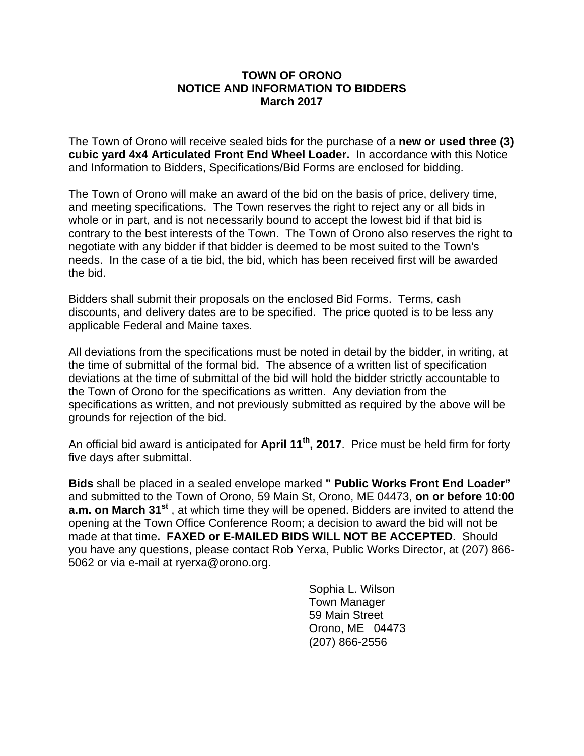## **TOWN OF ORONO NOTICE AND INFORMATION TO BIDDERS March 2017**

The Town of Orono will receive sealed bids for the purchase of a **new or used three (3) cubic yard 4x4 Articulated Front End Wheel Loader.** In accordance with this Notice and Information to Bidders, Specifications/Bid Forms are enclosed for bidding.

The Town of Orono will make an award of the bid on the basis of price, delivery time, and meeting specifications. The Town reserves the right to reject any or all bids in whole or in part, and is not necessarily bound to accept the lowest bid if that bid is contrary to the best interests of the Town. The Town of Orono also reserves the right to negotiate with any bidder if that bidder is deemed to be most suited to the Town's needs. In the case of a tie bid, the bid, which has been received first will be awarded the bid.

Bidders shall submit their proposals on the enclosed Bid Forms. Terms, cash discounts, and delivery dates are to be specified. The price quoted is to be less any applicable Federal and Maine taxes.

All deviations from the specifications must be noted in detail by the bidder, in writing, at the time of submittal of the formal bid. The absence of a written list of specification deviations at the time of submittal of the bid will hold the bidder strictly accountable to the Town of Orono for the specifications as written. Any deviation from the specifications as written, and not previously submitted as required by the above will be grounds for rejection of the bid.

An official bid award is anticipated for **April 11th, 2017**. Price must be held firm for forty five days after submittal.

**Bids** shall be placed in a sealed envelope marked **" Public Works Front End Loader"** and submitted to the Town of Orono, 59 Main St, Orono, ME 04473, **on or before 10:00 a.m. on March 31<sup>st</sup>**, at which time they will be opened. Bidders are invited to attend the opening at the Town Office Conference Room; a decision to award the bid will not be made at that time**. FAXED or E-MAILED BIDS WILL NOT BE ACCEPTED**. Should you have any questions, please contact Rob Yerxa, Public Works Director, at (207) 866- 5062 or via e-mail at ryerxa@orono.org.

> Sophia L. Wilson Town Manager 59 Main Street Orono, ME 04473 (207) 866-2556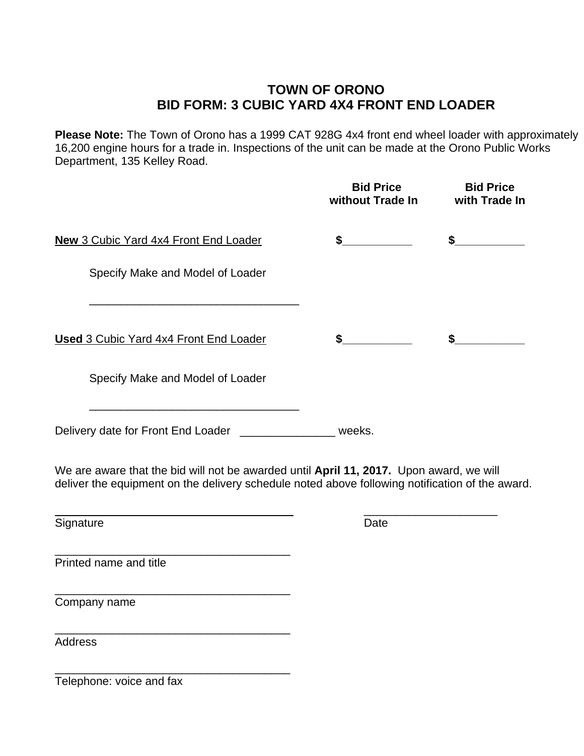# **TOWN OF ORONO BID FORM: 3 CUBIC YARD 4X4 FRONT END LOADER**

**Please Note:** The Town of Orono has a 1999 CAT 928G 4x4 front end wheel loader with approximately 16,200 engine hours for a trade in. Inspections of the unit can be made at the Orono Public Works Department, 135 Kelley Road.

|                                                                                                                                                                                            | <b>Bid Price</b><br>without Trade In | <b>Bid Price</b><br>with Trade In |
|--------------------------------------------------------------------------------------------------------------------------------------------------------------------------------------------|--------------------------------------|-----------------------------------|
| <b>New 3 Cubic Yard 4x4 Front End Loader</b>                                                                                                                                               | $\frac{1}{2}$                        | $\frac{1}{2}$                     |
| Specify Make and Model of Loader                                                                                                                                                           |                                      |                                   |
| <b>Used 3 Cubic Yard 4x4 Front End Loader</b>                                                                                                                                              | $\sim$                               | $\sim$                            |
| Specify Make and Model of Loader                                                                                                                                                           |                                      |                                   |
| Delivery date for Front End Loader ___________________ weeks.                                                                                                                              |                                      |                                   |
| We are aware that the bid will not be awarded until April 11, 2017. Upon award, we will<br>deliver the equipment on the delivery schedule noted above following notification of the award. |                                      |                                   |
| Signature                                                                                                                                                                                  | Date                                 |                                   |
| Printed name and title                                                                                                                                                                     |                                      |                                   |
| the control of the control of the control of the control of the control of the control of<br>Company name                                                                                  |                                      |                                   |
| <b>Address</b>                                                                                                                                                                             |                                      |                                   |

Telephone: voice and fax

\_\_\_\_\_\_\_\_\_\_\_\_\_\_\_\_\_\_\_\_\_\_\_\_\_\_\_\_\_\_\_\_\_\_\_\_\_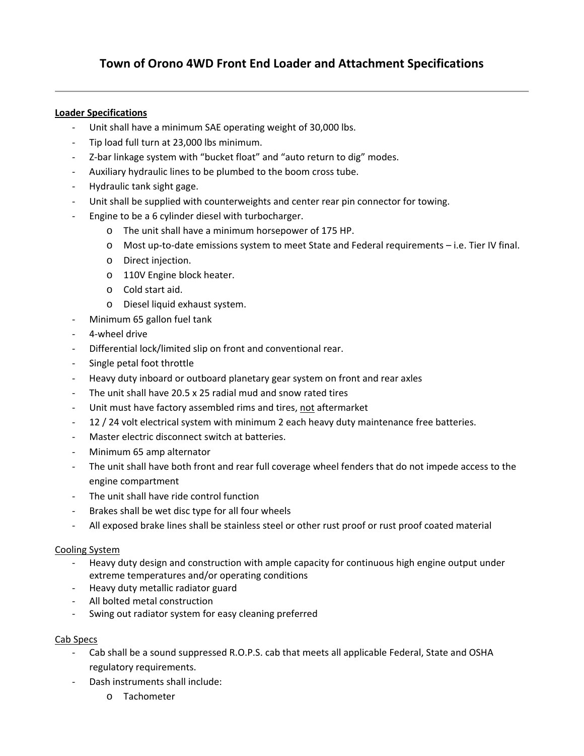### **Loader Specifications**

- ‐ Unit shall have a minimum SAE operating weight of 30,000 lbs.
- ‐ Tip load full turn at 23,000 lbs minimum.
- ‐ Z‐bar linkage system with "bucket float" and "auto return to dig" modes.
- ‐ Auxiliary hydraulic lines to be plumbed to the boom cross tube.
- ‐ Hydraulic tank sight gage.
- Unit shall be supplied with counterweights and center rear pin connector for towing.
- Engine to be a 6 cylinder diesel with turbocharger.
	- o The unit shall have a minimum horsepower of 175 HP.
	- o Most up‐to‐date emissions system to meet State and Federal requirements i.e. Tier IV final.
	- o Direct injection.
	- o 110V Engine block heater.
	- o Cold start aid.
	- o Diesel liquid exhaust system.
- ‐ Minimum 65 gallon fuel tank
- ‐ 4‐wheel drive
- ‐ Differential lock/limited slip on front and conventional rear.
- Single petal foot throttle
- ‐ Heavy duty inboard or outboard planetary gear system on front and rear axles
- The unit shall have 20.5 x 25 radial mud and snow rated tires
- ‐ Unit must have factory assembled rims and tires, not aftermarket
- 12 / 24 volt electrical system with minimum 2 each heavy duty maintenance free batteries.
- Master electric disconnect switch at batteries.
- ‐ Minimum 65 amp alternator
- The unit shall have both front and rear full coverage wheel fenders that do not impede access to the engine compartment
- ‐ The unit shall have ride control function
- ‐ Brakes shall be wet disc type for all four wheels
- ‐ All exposed brake lines shall be stainless steel or other rust proof or rust proof coated material

### Cooling System

- ‐ Heavy duty design and construction with ample capacity for continuous high engine output under extreme temperatures and/or operating conditions
- ‐ Heavy duty metallic radiator guard
- ‐ All bolted metal construction
- ‐ Swing out radiator system for easy cleaning preferred

### Cab Specs

- ‐ Cab shall be a sound suppressed R.O.P.S. cab that meets all applicable Federal, State and OSHA regulatory requirements.
- ‐ Dash instruments shall include:
	- o Tachometer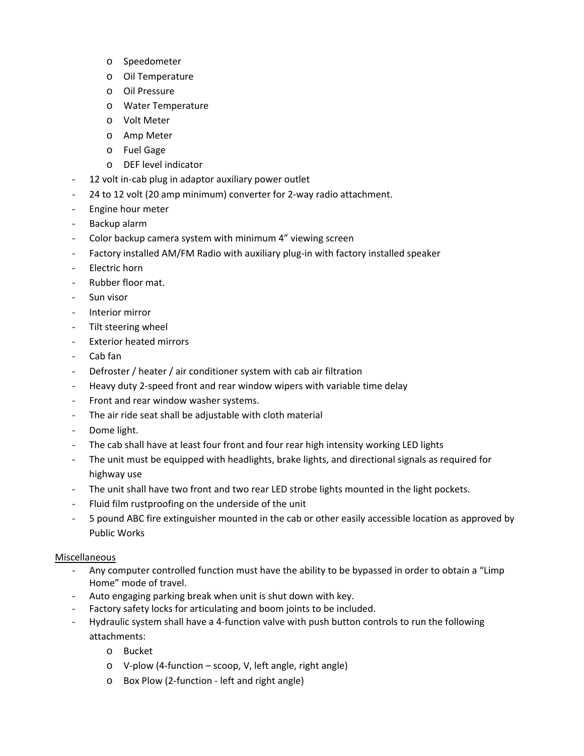- o Speedometer
- o Oil Temperature
- o Oil Pressure
- o Water Temperature
- o Volt Meter
- o Amp Meter
- o Fuel Gage
- o DEF level indicator
- ‐ 12 volt in‐cab plug in adaptor auxiliary power outlet
- ‐ 24 to 12 volt (20 amp minimum) converter for 2‐way radio attachment.
- ‐ Engine hour meter
- ‐ Backup alarm
- ‐ Color backup camera system with minimum 4" viewing screen
- ‐ Factory installed AM/FM Radio with auxiliary plug‐in with factory installed speaker
- ‐ Electric horn
- ‐ Rubber floor mat.
- ‐ Sun visor
- ‐ Interior mirror
- ‐ Tilt steering wheel
- ‐ Exterior heated mirrors
- ‐ Cab fan
- ‐ Defroster / heater / air conditioner system with cab air filtration
- ‐ Heavy duty 2‐speed front and rear window wipers with variable time delay
- ‐ Front and rear window washer systems.
- The air ride seat shall be adjustable with cloth material
- ‐ Dome light.
- ‐ The cab shall have at least four front and four rear high intensity working LED lights
- ‐ The unit must be equipped with headlights, brake lights, and directional signals as required for highway use
- ‐ The unit shall have two front and two rear LED strobe lights mounted in the light pockets.
- ‐ Fluid film rustproofing on the underside of the unit
- ‐ 5 pound ABC fire extinguisher mounted in the cab or other easily accessible location as approved by Public Works

#### Miscellaneous

- ‐ Any computer controlled function must have the ability to be bypassed in order to obtain a "Limp Home" mode of travel.
- ‐ Auto engaging parking break when unit is shut down with key.
- Factory safety locks for articulating and boom joints to be included.
- ‐ Hydraulic system shall have a 4‐function valve with push button controls to run the following attachments:
	- o Bucket
	- o V‐plow (4‐function scoop, V, left angle, right angle)
	- o Box Plow (2‐function ‐ left and right angle)